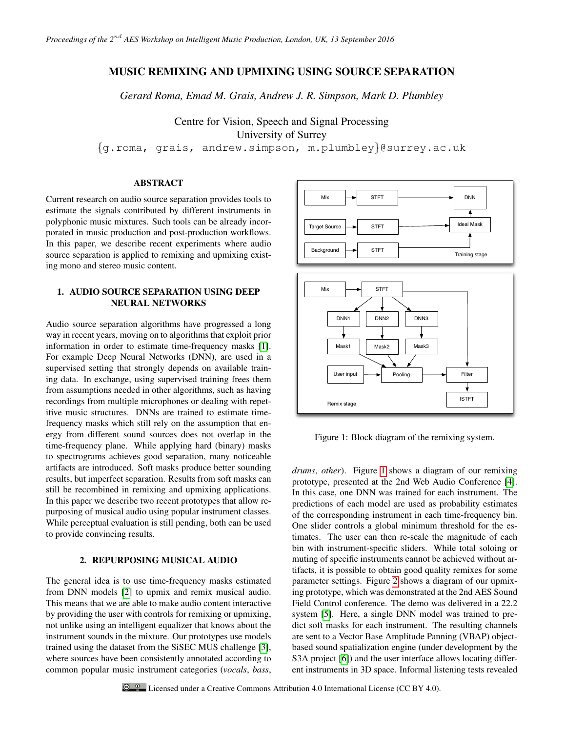# MUSIC REMIXING AND UPMIXING USING SOURCE SEPARATION

*Gerard Roma, Emad M. Grais, Andrew J. R. Simpson, Mark D. Plumbley*

Centre for Vision, Speech and Signal Processing University of Surrey

{g.roma, grais, andrew.simpson, m.plumbley}@surrey.ac.uk

# ABSTRACT

Current research on audio source separation provides tools to estimate the signals contributed by different instruments in polyphonic music mixtures. Such tools can be already incorporated in music production and post-production workflows. In this paper, we describe recent experiments where audio source separation is applied to remixing and upmixing existing mono and stereo music content.

# 1. AUDIO SOURCE SEPARATION USING DEEP NEURAL NETWORKS

Audio source separation algorithms have progressed a long way in recent years, moving on to algorithms that exploit prior information in order to estimate time-frequency masks [\[1\]](#page-1-0). For example Deep Neural Networks (DNN), are used in a supervised setting that strongly depends on available training data. In exchange, using supervised training frees them from assumptions needed in other algorithms, such as having recordings from multiple microphones or dealing with repetitive music structures. DNNs are trained to estimate timefrequency masks which still rely on the assumption that energy from different sound sources does not overlap in the time-frequency plane. While applying hard (binary) masks to spectrograms achieves good separation, many noticeable artifacts are introduced. Soft masks produce better sounding results, but imperfect separation. Results from soft masks can still be recombined in remixing and upmixing applications. In this paper we describe two recent prototypes that allow repurposing of musical audio using popular instrument classes. While perceptual evaluation is still pending, both can be used to provide convincing results.

## 2. REPURPOSING MUSICAL AUDIO

The general idea is to use time-frequency masks estimated from DNN models [\[2\]](#page-1-1) to upmix and remix musical audio. This means that we are able to make audio content interactive by providing the user with controls for remixing or upmixing, not unlike using an intelligent equalizer that knows about the instrument sounds in the mixture. Our prototypes use models trained using the dataset from the SiSEC MUS challenge [\[3\]](#page-1-2), where sources have been consistently annotated according to common popular music instrument categories (*vocals*, *bass*,



<span id="page-0-0"></span>Figure 1: Block diagram of the remixing system.

*drums*, *other*). Figure [1](#page-0-0) shows a diagram of our remixing prototype, presented at the 2nd Web Audio Conference [\[4\]](#page-1-3). In this case, one DNN was trained for each instrument. The predictions of each model are used as probability estimates of the corresponding instrument in each time-frequency bin. One slider controls a global minimum threshold for the estimates. The user can then re-scale the magnitude of each bin with instrument-specific sliders. While total soloing or muting of specific instruments cannot be achieved without artifacts, it is possible to obtain good quality remixes for some parameter settings. Figure [2](#page-1-4) shows a diagram of our upmixing prototype, which was demonstrated at the 2nd AES Sound Field Control conference. The demo was delivered in a 22.2 system [\[5\]](#page-1-5). Here, a single DNN model was trained to predict soft masks for each instrument. The resulting channels are sent to a Vector Base Amplitude Panning (VBAP) objectbased sound spatialization engine (under development by the S3A project [\[6\]](#page-1-6)) and the user interface allows locating different instruments in 3D space. Informal listening tests revealed

 $\bullet$  Licensed under a Creative Commons Attribution 4.0 International License (CC BY 4.0).